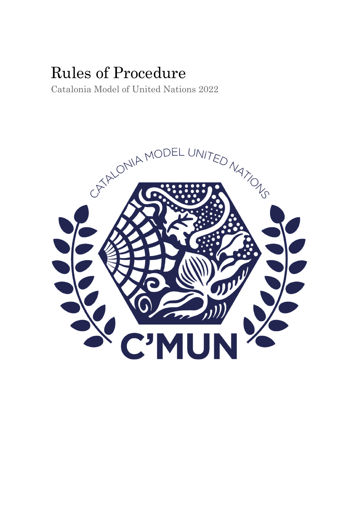# Rules of Procedure

Catalonia Model of United Nations 2022

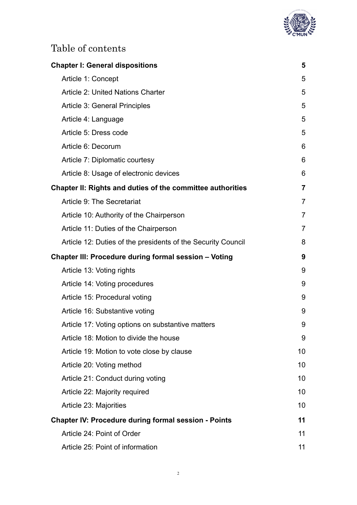

# Table of contents

| <b>Chapter I: General dispositions</b>                            | 5              |
|-------------------------------------------------------------------|----------------|
| Article 1: Concept                                                | 5              |
| <b>Article 2: United Nations Charter</b>                          | 5              |
| <b>Article 3: General Principles</b>                              | 5              |
| Article 4: Language                                               | 5              |
| Article 5: Dress code                                             | 5              |
| Article 6: Decorum                                                | 6              |
| Article 7: Diplomatic courtesy                                    | 6              |
| Article 8: Usage of electronic devices                            | 6              |
| <b>Chapter II: Rights and duties of the committee authorities</b> | $\overline{7}$ |
| Article 9: The Secretariat                                        | $\overline{7}$ |
| Article 10: Authority of the Chairperson                          | $\overline{7}$ |
| Article 11: Duties of the Chairperson                             | $\overline{7}$ |
| Article 12: Duties of the presidents of the Security Council      | 8              |
| <b>Chapter III: Procedure during formal session - Voting</b>      | 9              |
| Article 13: Voting rights                                         | 9              |
| Article 14: Voting procedures                                     | 9              |
| Article 15: Procedural voting                                     | 9              |
| Article 16: Substantive voting                                    | 9              |
| Article 17: Voting options on substantive matters                 | 9              |
| Article 18: Motion to divide the house                            | 9              |
| Article 19: Motion to vote close by clause                        | 10             |
| Article 20: Voting method                                         | 10             |
| Article 21: Conduct during voting                                 | 10             |
| Article 22: Majority required                                     | 10             |
| Article 23: Majorities                                            | 10             |
| <b>Chapter IV: Procedure during formal session - Points</b>       | 11             |
| Article 24: Point of Order                                        | 11             |
| Article 25: Point of information                                  | 11             |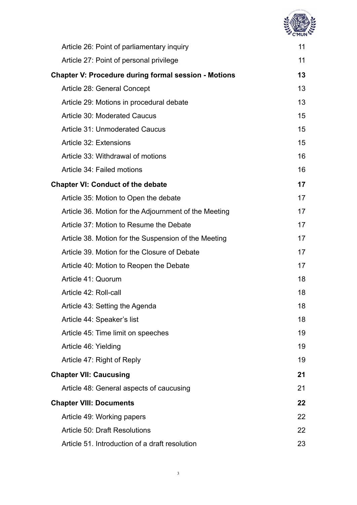| <b>ED NaDes</b><br>ż |
|----------------------|
|                      |
|                      |
|                      |
|                      |

| Article 26: Point of parliamentary inquiry                  | 11 |
|-------------------------------------------------------------|----|
| Article 27: Point of personal privilege                     | 11 |
| <b>Chapter V: Procedure during formal session - Motions</b> | 13 |
| Article 28: General Concept                                 | 13 |
| Article 29: Motions in procedural debate                    | 13 |
| <b>Article 30: Moderated Caucus</b>                         | 15 |
| <b>Article 31: Unmoderated Caucus</b>                       | 15 |
| Article 32: Extensions                                      | 15 |
| Article 33: Withdrawal of motions                           | 16 |
| Article 34: Failed motions                                  | 16 |
| <b>Chapter VI: Conduct of the debate</b>                    | 17 |
| Article 35: Motion to Open the debate                       | 17 |
| Article 36. Motion for the Adjournment of the Meeting       | 17 |
| Article 37: Motion to Resume the Debate                     | 17 |
| Article 38. Motion for the Suspension of the Meeting        | 17 |
| Article 39. Motion for the Closure of Debate                | 17 |
| Article 40: Motion to Reopen the Debate                     | 17 |
| Article 41: Quorum                                          | 18 |
| Article 42: Roll-call                                       | 18 |
| Article 43: Setting the Agenda                              | 18 |
| Article 44: Speaker's list                                  | 18 |
| Article 45: Time limit on speeches                          | 19 |
| Article 46: Yielding                                        | 19 |
| Article 47: Right of Reply                                  | 19 |
| <b>Chapter VII: Caucusing</b>                               | 21 |
| Article 48: General aspects of caucusing                    | 21 |
| <b>Chapter VIII: Documents</b>                              | 22 |
| Article 49: Working papers                                  | 22 |
| <b>Article 50: Draft Resolutions</b>                        | 22 |
| Article 51. Introduction of a draft resolution              | 23 |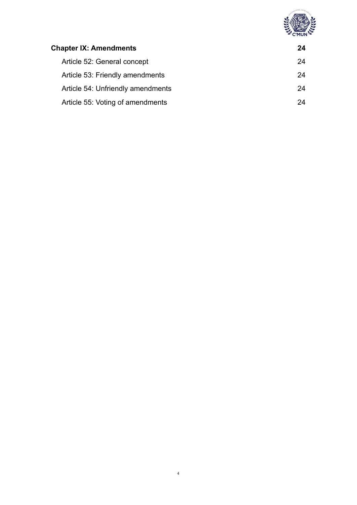

| <b>Chapter IX: Amendments</b>     | 24 |
|-----------------------------------|----|
| Article 52: General concept       | 24 |
| Article 53: Friendly amendments   | 24 |
| Article 54: Unfriendly amendments | 24 |
| Article 55: Voting of amendments  | 24 |
|                                   |    |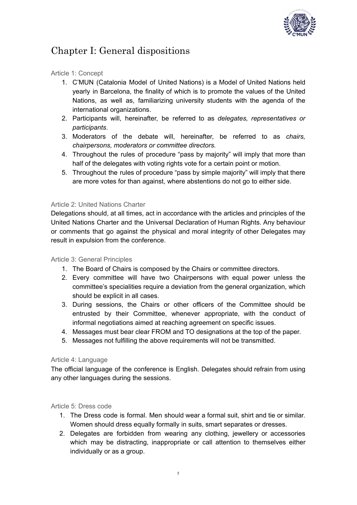

# <span id="page-4-0"></span>Chapter I: General dispositions

#### <span id="page-4-1"></span>Article 1: Concept

- 1. C'MUN (Catalonia Model of United Nations) is a Model of United Nations held yearly in Barcelona, the finality of which is to promote the values of the United Nations, as well as, familiarizing university students with the agenda of the international organizations.
- 2. Participants will, hereinafter, be referred to as *delegates, representatives or participants*.
- 3. Moderators of the debate will, hereinafter, be referred to as *chairs, chairpersons, moderators or committee directors.*
- 4. Throughout the rules of procedure "pass by majority" will imply that more than half of the delegates with voting rights vote for a certain point or motion.
- 5. Throughout the rules of procedure "pass by simple majority" will imply that there are more votes for than against, where abstentions do not go to either side.

#### <span id="page-4-2"></span>Article 2: United Nations Charter

Delegations should, at all times, act in accordance with the articles and principles of the United Nations Charter and the Universal Declaration of Human Rights. Any behaviour or comments that go against the physical and moral integrity of other Delegates may result in expulsion from the conference.

#### <span id="page-4-3"></span>Article 3: General Principles

- 1. The Board of Chairs is composed by the Chairs or committee directors.
- 2. Every committee will have two Chairpersons with equal power unless the committee's specialities require a deviation from the general organization, which should be explicit in all cases.
- 3. During sessions, the Chairs or other officers of the Committee should be entrusted by their Committee, whenever appropriate, with the conduct of informal negotiations aimed at reaching agreement on specific issues.
- 4. Messages must bear clear FROM and TO designations at the top of the paper.
- 5. Messages not fulfilling the above requirements will not be transmitted.

#### <span id="page-4-4"></span>Article 4: Language

The official language of the conference is English. Delegates should refrain from using any other languages during the sessions.

#### <span id="page-4-5"></span>Article 5: Dress code

- 1. The Dress code is formal. Men should wear a formal suit, shirt and tie or similar. Women should dress equally formally in suits, smart separates or dresses.
- 2. Delegates are forbidden from wearing any clothing, jewellery or accessories which may be distracting, inappropriate or call attention to themselves either individually or as a group.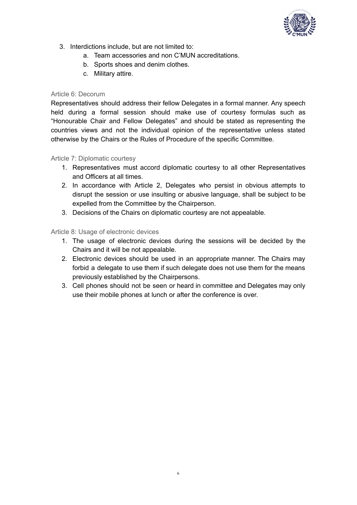

- 3. Interdictions include, but are not limited to:
	- a. Team accessories and non C'MUN accreditations.
	- b. Sports shoes and denim clothes.
	- c. Military attire.

#### <span id="page-5-0"></span>Article 6: Decorum

Representatives should address their fellow Delegates in a formal manner. Any speech held during a formal session should make use of courtesy formulas such as "Honourable Chair and Fellow Delegates" and should be stated as representing the countries views and not the individual opinion of the representative unless stated otherwise by the Chairs or the Rules of Procedure of the specific Committee.

#### <span id="page-5-1"></span>Article 7: Diplomatic courtesy

- 1. Representatives must accord diplomatic courtesy to all other Representatives and Officers at all times.
- 2. In accordance with Article 2, Delegates who persist in obvious attempts to disrupt the session or use insulting or abusive language, shall be subject to be expelled from the Committee by the Chairperson.
- 3. Decisions of the Chairs on diplomatic courtesy are not appealable.

#### <span id="page-5-2"></span>Article 8: Usage of electronic devices

- 1. The usage of electronic devices during the sessions will be decided by the Chairs and it will be not appealable.
- 2. Electronic devices should be used in an appropriate manner. The Chairs may forbid a delegate to use them if such delegate does not use them for the means previously established by the Chairpersons.
- 3. Cell phones should not be seen or heard in committee and Delegates may only use their mobile phones at lunch or after the conference is over.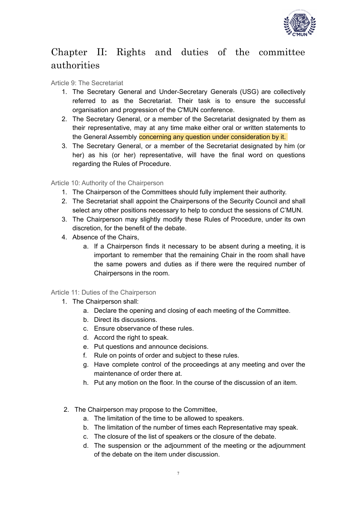

# <span id="page-6-0"></span>Chapter II: Rights and duties of the committee authorities

#### <span id="page-6-1"></span>Article 9: The Secretariat

- 1. The Secretary General and Under-Secretary Generals (USG) are collectively referred to as the Secretariat. Their task is to ensure the successful organisation and progression of the C'MUN conference.
- 2. The Secretary General, or a member of the Secretariat designated by them as their representative, may at any time make either oral or written statements to the General Assembly concerning any question under consideration by it.
- 3. The Secretary General, or a member of the Secretariat designated by him (or her) as his (or her) representative, will have the final word on questions regarding the Rules of Procedure.

<span id="page-6-2"></span>Article 10: Authority of the Chairperson

- 1. The Chairperson of the Committees should fully implement their authority.
- 2. The Secretariat shall appoint the Chairpersons of the Security Council and shall select any other positions necessary to help to conduct the sessions of C'MUN.
- 3. The Chairperson may slightly modify these Rules of Procedure, under its own discretion, for the benefit of the debate.
- 4. Absence of the Chairs,
	- a. If a Chairperson finds it necessary to be absent during a meeting, it is important to remember that the remaining Chair in the room shall have the same powers and duties as if there were the required number of Chairpersons in the room.

#### <span id="page-6-3"></span>Article 11: Duties of the Chairperson

- 1. The Chairperson shall:
	- a. Declare the opening and closing of each meeting of the Committee.
	- b. Direct its discussions.
	- c. Ensure observance of these rules.
	- d. Accord the right to speak.
	- e. Put questions and announce decisions.
	- f. Rule on points of order and subject to these rules.
	- g. Have complete control of the proceedings at any meeting and over the maintenance of order there at.
	- h. Put any motion on the floor. In the course of the discussion of an item.
- 2. The Chairperson may propose to the Committee,
	- a. The limitation of the time to be allowed to speakers.
	- b. The limitation of the number of times each Representative may speak.
	- c. The closure of the list of speakers or the closure of the debate.
	- d. The suspension or the adjournment of the meeting or the adjournment of the debate on the item under discussion.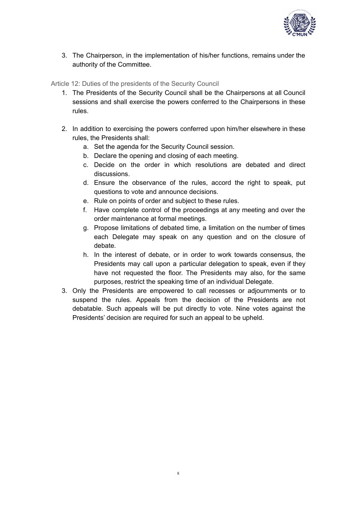

3. The Chairperson, in the implementation of his/her functions, remains under the authority of the Committee.

<span id="page-7-0"></span>Article 12: Duties of the presidents of the Security Council

- 1. The Presidents of the Security Council shall be the Chairpersons at all Council sessions and shall exercise the powers conferred to the Chairpersons in these rules.
- 2. In addition to exercising the powers conferred upon him/her elsewhere in these rules, the Presidents shall:
	- a. Set the agenda for the Security Council session.
	- b. Declare the opening and closing of each meeting.
	- c. Decide on the order in which resolutions are debated and direct discussions.
	- d. Ensure the observance of the rules, accord the right to speak, put questions to vote and announce decisions.
	- e. Rule on points of order and subject to these rules.
	- f. Have complete control of the proceedings at any meeting and over the order maintenance at formal meetings.
	- g. Propose limitations of debated time, a limitation on the number of times each Delegate may speak on any question and on the closure of debate.
	- h. In the interest of debate, or in order to work towards consensus, the Presidents may call upon a particular delegation to speak, even if they have not requested the floor. The Presidents may also, for the same purposes, restrict the speaking time of an individual Delegate.
- 3. Only the Presidents are empowered to call recesses or adjournments or to suspend the rules. Appeals from the decision of the Presidents are not debatable. Such appeals will be put directly to vote. Nine votes against the Presidents' decision are required for such an appeal to be upheld.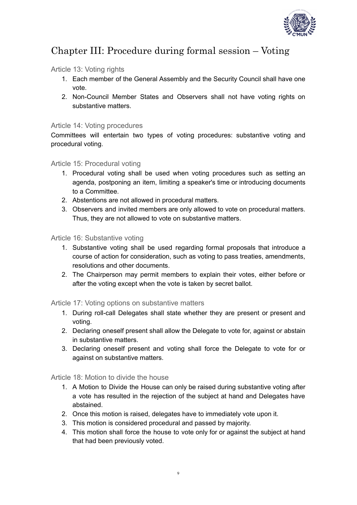

### <span id="page-8-0"></span>Chapter III: Procedure during formal session – Voting

#### <span id="page-8-1"></span>Article 13: Voting rights

- 1. Each member of the General Assembly and the Security Council shall have one vote.
- 2. Non-Council Member States and Observers shall not have voting rights on substantive matters.

#### <span id="page-8-2"></span>Article 14: Voting procedures

Committees will entertain two types of voting procedures: substantive voting and procedural voting.

#### <span id="page-8-3"></span>Article 15: Procedural voting

- 1. Procedural voting shall be used when voting procedures such as setting an agenda, postponing an item, limiting a speaker's time or introducing documents to a Committee.
- 2. Abstentions are not allowed in procedural matters.
- 3. Observers and invited members are only allowed to vote on procedural matters. Thus, they are not allowed to vote on substantive matters.

#### <span id="page-8-4"></span>Article 16: Substantive voting

- 1. Substantive voting shall be used regarding formal proposals that introduce a course of action for consideration, such as voting to pass treaties, amendments, resolutions and other documents.
- 2. The Chairperson may permit members to explain their votes, either before or after the voting except when the vote is taken by secret ballot.

#### <span id="page-8-5"></span>Article 17: Voting options on substantive matters

- 1. During roll-call Delegates shall state whether they are present or present and voting.
- 2. Declaring oneself present shall allow the Delegate to vote for, against or abstain in substantive matters.
- 3. Declaring oneself present and voting shall force the Delegate to vote for or against on substantive matters.

<span id="page-8-6"></span>Article 18: Motion to divide the house

- 1. A Motion to Divide the House can only be raised during substantive voting after a vote has resulted in the rejection of the subject at hand and Delegates have abstained.
- 2. Once this motion is raised, delegates have to immediately vote upon it.
- 3. This motion is considered procedural and passed by majority.
- 4. This motion shall force the house to vote only for or against the subject at hand that had been previously voted.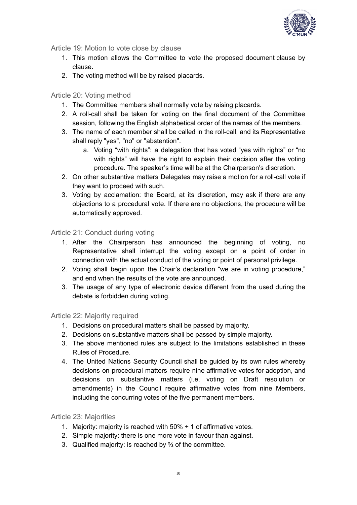

<span id="page-9-0"></span>Article 19: Motion to vote close by clause

- 1. This motion allows the Committee to vote the proposed document clause by clause.
- 2. The voting method will be by raised placards.

#### <span id="page-9-1"></span>Article 20: Voting method

- 1. The Committee members shall normally vote by raising placards.
- 2. A roll-call shall be taken for voting on the final document of the Committee session, following the English alphabetical order of the names of the members.
- 3. The name of each member shall be called in the roll-call, and its Representative shall reply "yes", "no" or "abstention".
	- a. Voting "with rights": a delegation that has voted "yes with rights" or "no with rights" will have the right to explain their decision after the voting procedure. The speaker's time will be at the Chairperson's discretion.
- 2. On other substantive matters Delegates may raise a motion for a roll-call vote if they want to proceed with such.
- 3. Voting by acclamation: the Board, at its discretion, may ask if there are any objections to a procedural vote. If there are no objections, the procedure will be automatically approved.

#### <span id="page-9-2"></span>Article 21: Conduct during voting

- 1. After the Chairperson has announced the beginning of voting, no Representative shall interrupt the voting except on a point of order in connection with the actual conduct of the voting or point of personal privilege.
- 2. Voting shall begin upon the Chair's declaration "we are in voting procedure," and end when the results of the vote are announced.
- 3. The usage of any type of electronic device different from the used during the debate is forbidden during voting.

#### <span id="page-9-3"></span>Article 22: Majority required

- 1. Decisions on procedural matters shall be passed by majority.
- 2. Decisions on substantive matters shall be passed by simple majority.
- 3. The above mentioned rules are subject to the limitations established in these Rules of Procedure.
- 4. The United Nations Security Council shall be guided by its own rules whereby decisions on procedural matters require nine affirmative votes for adoption, and decisions on substantive matters (i.e. voting on Draft resolution or amendments) in the Council require affirmative votes from nine Members, including the concurring votes of the five permanent members.

#### <span id="page-9-4"></span>Article 23: Majorities

- 1. Majority: majority is reached with 50% + 1 of affirmative votes.
- 2. Simple majority: there is one more vote in favour than against.
- 3. Qualified majority: is reached by ⅔ of the committee.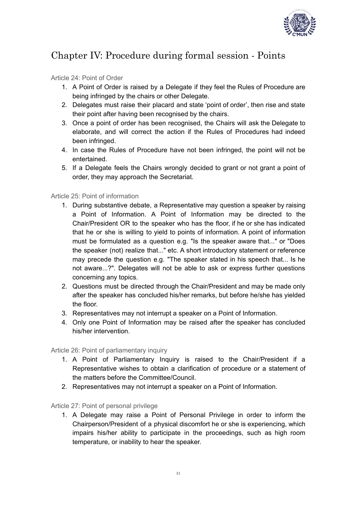

# <span id="page-10-0"></span>Chapter IV: Procedure during formal session - Points

#### <span id="page-10-1"></span>Article 24: Point of Order

- 1. A Point of Order is raised by a Delegate if they feel the Rules of Procedure are being infringed by the chairs or other Delegate.
- 2. Delegates must raise their placard and state 'point of order', then rise and state their point after having been recognised by the chairs.
- 3. Once a point of order has been recognised, the Chairs will ask the Delegate to elaborate, and will correct the action if the Rules of Procedures had indeed been infringed.
- 4. In case the Rules of Procedure have not been infringed, the point will not be entertained.
- 5. If a Delegate feels the Chairs wrongly decided to grant or not grant a point of order, they may approach the Secretariat.

#### <span id="page-10-2"></span>Article 25: Point of information

- 1. During substantive debate, a Representative may question a speaker by raising a Point of Information. A Point of Information may be directed to the Chair/President OR to the speaker who has the floor, if he or she has indicated that he or she is willing to yield to points of information. A point of information must be formulated as a question e.g. "Is the speaker aware that..." or "Does the speaker (not) realize that..." etc. A short introductory statement or reference may precede the question e.g. "The speaker stated in his speech that... Is he not aware...?". Delegates will not be able to ask or express further questions concerning any topics.
- 2. Questions must be directed through the Chair/President and may be made only after the speaker has concluded his/her remarks, but before he/she has yielded the floor.
- 3. Representatives may not interrupt a speaker on a Point of Information.
- 4. Only one Point of Information may be raised after the speaker has concluded his/her intervention.

#### <span id="page-10-3"></span>Article 26: Point of parliamentary inquiry

- 1. A Point of Parliamentary Inquiry is raised to the Chair/President if a Representative wishes to obtain a clarification of procedure or a statement of the matters before the Committee/Council.
- 2. Representatives may not interrupt a speaker on a Point of Information.

#### <span id="page-10-4"></span>Article 27: Point of personal privilege

1. A Delegate may raise a Point of Personal Privilege in order to inform the Chairperson/President of a physical discomfort he or she is experiencing, which impairs his/her ability to participate in the proceedings, such as high room temperature, or inability to hear the speaker.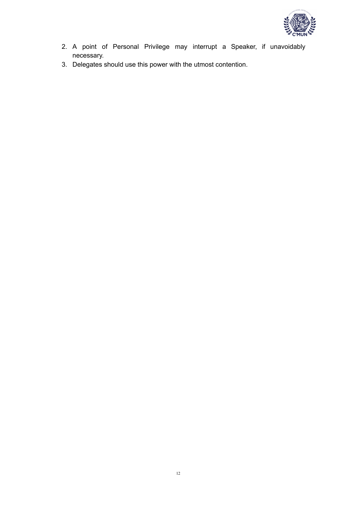

- 2. A point of Personal Privilege may interrupt a Speaker, if unavoidably necessary.
- 3. Delegates should use this power with the utmost contention.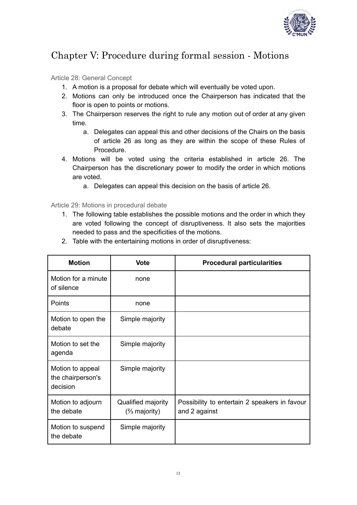

# <span id="page-12-0"></span>Chapter V: Procedure during formal session - Motions

#### <span id="page-12-1"></span>Article 28: General Concept

- 1. A motion is a proposal for debate which will eventually be voted upon.
- 2. Motions can only be introduced once the Chairperson has indicated that the floor is open to points or motions.
- 3. The Chairperson reserves the right to rule any motion out of order at any given time.
	- a. Delegates can appeal this and other decisions of the Chairs on the basis of article 26 as long as they are within the scope of these Rules of Procedure.
- 4. Motions will be voted using the criteria established in article 26. The Chairperson has the discretionary power to modify the order in which motions are voted.
	- a. Delegates can appeal this decision on the basis of article 26.

<span id="page-12-2"></span>Article 29: Motions in procedural debate

1. The following table establishes the possible motions and the order in which they are voted following the concept of disruptiveness. It also sets the majorities needed to pass and the specificities of the motions.

| <b>Motion</b>                                     | <b>Vote</b>                                   | <b>Procedural particularities</b>                              |
|---------------------------------------------------|-----------------------------------------------|----------------------------------------------------------------|
| Motion for a minute<br>of silence                 | none                                          |                                                                |
| <b>Points</b>                                     | none                                          |                                                                |
| Motion to open the<br>debate                      | Simple majority                               |                                                                |
| Motion to set the<br>agenda                       | Simple majority                               |                                                                |
| Motion to appeal<br>the chairperson's<br>decision | Simple majority                               |                                                                |
| Motion to adjourn<br>the debate                   | Qualified majority<br>$\frac{2}{3}$ majority) | Possibility to entertain 2 speakers in favour<br>and 2 against |
| Motion to suspend<br>the debate                   | Simple majority                               |                                                                |
|                                                   |                                               |                                                                |

2. Table with the entertaining motions in order of disruptiveness: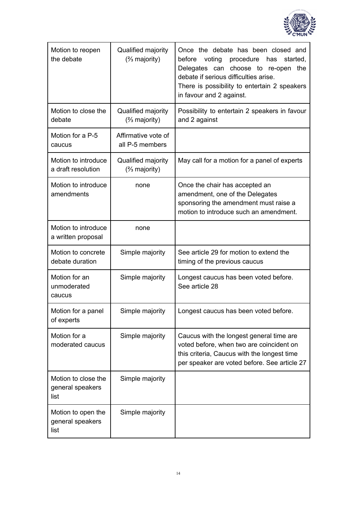

| Motion to reopen<br>the debate                  | Qualified majority<br>$\frac{2}{3}$ majority) | Once the debate has been closed and<br>before<br>voting<br>procedure<br>has<br>started,<br>Delegates can choose to re-open<br>the<br>debate if serious difficulties arise.<br>There is possibility to entertain 2 speakers<br>in favour and 2 against. |
|-------------------------------------------------|-----------------------------------------------|--------------------------------------------------------------------------------------------------------------------------------------------------------------------------------------------------------------------------------------------------------|
| Motion to close the<br>debate                   | Qualified majority<br>(% majority)            | Possibility to entertain 2 speakers in favour<br>and 2 against                                                                                                                                                                                         |
| Motion for a P-5<br>caucus                      | Affirmative vote of<br>all P-5 members        |                                                                                                                                                                                                                                                        |
| Motion to introduce<br>a draft resolution       | Qualified majority<br>$(2/3)$ majority)       | May call for a motion for a panel of experts                                                                                                                                                                                                           |
| Motion to introduce<br>amendments               | none                                          | Once the chair has accepted an<br>amendment, one of the Delegates<br>sponsoring the amendment must raise a<br>motion to introduce such an amendment.                                                                                                   |
| Motion to introduce<br>a written proposal       | none                                          |                                                                                                                                                                                                                                                        |
| Motion to concrete<br>debate duration           | Simple majority                               | See article 29 for motion to extend the<br>timing of the previous caucus                                                                                                                                                                               |
| Motion for an<br>unmoderated<br>caucus          | Simple majority                               | Longest caucus has been voted before.<br>See article 28                                                                                                                                                                                                |
| Motion for a panel<br>of experts                | Simple majority                               | Longest caucus has been voted before.                                                                                                                                                                                                                  |
| Motion for a<br>moderated caucus                | Simple majority                               | Caucus with the longest general time are<br>voted before, when two are coincident on<br>this criteria, Caucus with the longest time<br>per speaker are voted before. See article 27                                                                    |
| Motion to close the<br>general speakers<br>list | Simple majority                               |                                                                                                                                                                                                                                                        |
| Motion to open the<br>general speakers<br>list  | Simple majority                               |                                                                                                                                                                                                                                                        |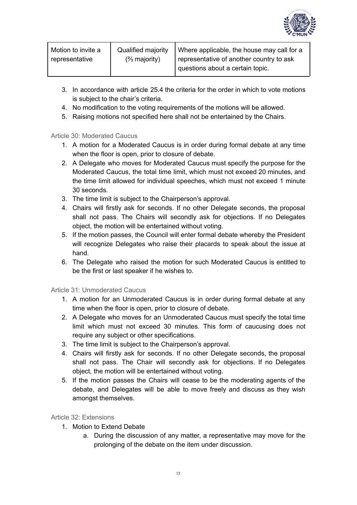

| Motion to invite a | Qualified majority | Where applicable, the house may call for a |
|--------------------|--------------------|--------------------------------------------|
| representative     | $(2/3)$ majority)  | representative of another country to ask   |
|                    |                    | questions about a certain topic.           |

- 3. In accordance with article 25.4 the criteria for the order in which to vote motions is subject to the chair's criteria.
- 4. No modification to the voting requirements of the motions will be allowed.
- 5. Raising motions not specified here shall not be entertained by the Chairs.

#### <span id="page-14-0"></span>Article 30: Moderated Caucus

- 1. A motion for a Moderated Caucus is in order during formal debate at any time when the floor is open, prior to closure of debate.
- 2. A Delegate who moves for Moderated Caucus must specify the purpose for the Moderated Caucus, the total time limit, which must not exceed 20 minutes, and the time limit allowed for individual speeches, which must not exceed 1 minute 30 seconds.
- 3. The time limit is subject to the Chairperson's approval.
- 4. Chairs will firstly ask for seconds. If no other Delegate seconds, the proposal shall not pass. The Chairs will secondly ask for objections. If no Delegates object, the motion will be entertained without voting.
- 5. If the motion passes, the Council will enter formal debate whereby the President will recognize Delegates who raise their placards to speak about the issue at hand.
- 6. The Delegate who raised the motion for such Moderated Caucus is entitled to be the first or last speaker if he wishes to.

#### <span id="page-14-1"></span>Article 31: Unmoderated Caucus

- 1. A motion for an Unmoderated Caucus is in order during formal debate at any time when the floor is open, prior to closure of debate.
- 2. A Delegate who moves for an Unmoderated Caucus must specify the total time limit which must not exceed 30 minutes. This form of caucusing does not require any subject or other specifications.
- 3. The time limit is subject to the Chairperson's approval.
- 4. Chairs will firstly ask for seconds. If no other Delegate seconds, the proposal shall not pass. The Chair will secondly ask for objections. If no Delegates object, the motion will be entertained without voting.
- 5. If the motion passes the Chairs will cease to be the moderating agents of the debate, and Delegates will be able to move freely and discuss as they wish amongst themselves.

#### <span id="page-14-2"></span>Article 32: Extensions

- 1. Motion to Extend Debate
	- a. During the discussion of any matter, a representative may move for the prolonging of the debate on the item under discussion.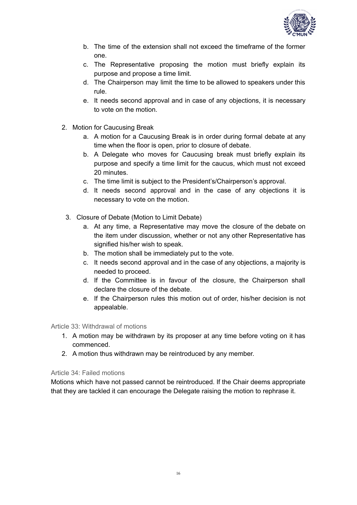

- b. The time of the extension shall not exceed the timeframe of the former one.
- c. The Representative proposing the motion must briefly explain its purpose and propose a time limit.
- d. The Chairperson may limit the time to be allowed to speakers under this rule.
- e. It needs second approval and in case of any objections, it is necessary to vote on the motion.
- 2. Motion for Caucusing Break
	- a. A motion for a Caucusing Break is in order during formal debate at any time when the floor is open, prior to closure of debate.
	- b. A Delegate who moves for Caucusing break must briefly explain its purpose and specify a time limit for the caucus, which must not exceed 20 minutes.
	- c. The time limit is subject to the President's/Chairperson's approval.
	- d. It needs second approval and in the case of any objections it is necessary to vote on the motion.
	- 3. Closure of Debate (Motion to Limit Debate)
		- a. At any time, a Representative may move the closure of the debate on the item under discussion, whether or not any other Representative has signified his/her wish to speak.
		- b. The motion shall be immediately put to the vote.
		- c. It needs second approval and in the case of any objections, a majority is needed to proceed.
		- d. If the Committee is in favour of the closure, the Chairperson shall declare the closure of the debate.
		- e. If the Chairperson rules this motion out of order, his/her decision is not appealable.

#### <span id="page-15-0"></span>Article 33: Withdrawal of motions

- 1. A motion may be withdrawn by its proposer at any time before voting on it has commenced.
- 2. A motion thus withdrawn may be reintroduced by any member.

#### <span id="page-15-1"></span>Article 34: Failed motions

Motions which have not passed cannot be reintroduced. If the Chair deems appropriate that they are tackled it can encourage the Delegate raising the motion to rephrase it.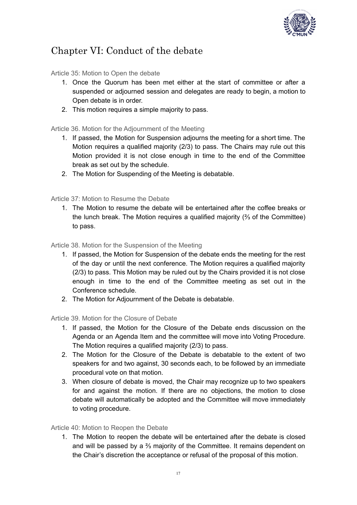

# <span id="page-16-0"></span>Chapter VI: Conduct of the debate

<span id="page-16-1"></span>Article 35: Motion to Open the debate

- 1. Once the Quorum has been met either at the start of committee or after a suspended or adjourned session and delegates are ready to begin, a motion to Open debate is in order.
- 2. This motion requires a simple majority to pass.

<span id="page-16-2"></span>Article 36. Motion for the Adjournment of the Meeting

- 1. If passed, the Motion for Suspension adjourns the meeting for a short time. The Motion requires a qualified majority (2/3) to pass. The Chairs may rule out this Motion provided it is not close enough in time to the end of the Committee break as set out by the schedule.
- 2. The Motion for Suspending of the Meeting is debatable.

<span id="page-16-3"></span>Article 37: Motion to Resume the Debate

1. The Motion to resume the debate will be entertained after the coffee breaks or the lunch break. The Motion requires a qualified majority (⅔ of the Committee) to pass.

<span id="page-16-4"></span>Article 38. Motion for the Suspension of the Meeting

- 1. If passed, the Motion for Suspension of the debate ends the meeting for the rest of the day or until the next conference. The Motion requires a qualified majority (2/3) to pass. This Motion may be ruled out by the Chairs provided it is not close enough in time to the end of the Committee meeting as set out in the Conference schedule.
- 2. The Motion for Adjournment of the Debate is debatable.

<span id="page-16-5"></span>Article 39. Motion for the Closure of Debate

- 1. If passed, the Motion for the Closure of the Debate ends discussion on the Agenda or an Agenda Item and the committee will move into Voting Procedure. The Motion requires a qualified majority (2/3) to pass.
- 2. The Motion for the Closure of the Debate is debatable to the extent of two speakers for and two against, 30 seconds each, to be followed by an immediate procedural vote on that motion.
- 3. When closure of debate is moved, the Chair may recognize up to two speakers for and against the motion. If there are no objections, the motion to close debate will automatically be adopted and the Committee will move immediately to voting procedure.

#### <span id="page-16-6"></span>Article 40: Motion to Reopen the Debate

1. The Motion to reopen the debate will be entertained after the debate is closed and will be passed by a ⅔ majority of the Committee. It remains dependent on the Chair's discretion the acceptance or refusal of the proposal of this motion.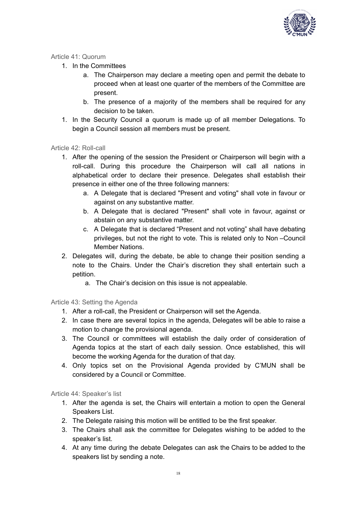

#### <span id="page-17-0"></span>Article 41: Quorum

- 1. In the Committees
	- a. The Chairperson may declare a meeting open and permit the debate to proceed when at least one quarter of the members of the Committee are present.
	- b. The presence of a majority of the members shall be required for any decision to be taken.
- 1. In the Security Council a quorum is made up of all member Delegations. To begin a Council session all members must be present.

#### <span id="page-17-1"></span>Article 42: Roll-call

- 1. After the opening of the session the President or Chairperson will begin with a roll-call. During this procedure the Chairperson will call all nations in alphabetical order to declare their presence. Delegates shall establish their presence in either one of the three following manners:
	- a. A Delegate that is declared "Present and voting" shall vote in favour or against on any substantive matter.
	- b. A Delegate that is declared "Present" shall vote in favour, against or abstain on any substantive matter.
	- c. A Delegate that is declared "Present and not voting" shall have debating privileges, but not the right to vote. This is related only to Non –Council Member Nations.
- 2. Delegates will, during the debate, be able to change their position sending a note to the Chairs. Under the Chair's discretion they shall entertain such a petition.
	- a. The Chair's decision on this issue is not appealable.

#### <span id="page-17-2"></span>Article 43: Setting the Agenda

- 1. After a roll-call, the President or Chairperson will set the Agenda.
- 2. In case there are several topics in the agenda, Delegates will be able to raise a motion to change the provisional agenda.
- 3. The Council or committees will establish the daily order of consideration of Agenda topics at the start of each daily session. Once established, this will become the working Agenda for the duration of that day.
- 4. Only topics set on the Provisional Agenda provided by C'MUN shall be considered by a Council or Committee.

<span id="page-17-3"></span>Article 44: Speaker's list

- 1. After the agenda is set, the Chairs will entertain a motion to open the General Speakers List.
- 2. The Delegate raising this motion will be entitled to be the first speaker.
- 3. The Chairs shall ask the committee for Delegates wishing to be added to the speaker's list.
- 4. At any time during the debate Delegates can ask the Chairs to be added to the speakers list by sending a note.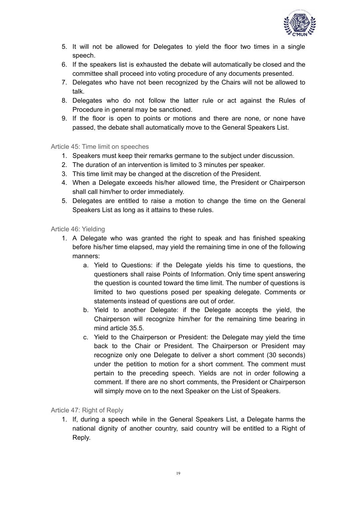

- 5. It will not be allowed for Delegates to yield the floor two times in a single speech.
- 6. If the speakers list is exhausted the debate will automatically be closed and the committee shall proceed into voting procedure of any documents presented.
- 7. Delegates who have not been recognized by the Chairs will not be allowed to talk.
- 8. Delegates who do not follow the latter rule or act against the Rules of Procedure in general may be sanctioned.
- 9. If the floor is open to points or motions and there are none, or none have passed, the debate shall automatically move to the General Speakers List.

<span id="page-18-0"></span>Article 45: Time limit on speeches

- 1. Speakers must keep their remarks germane to the subject under discussion.
- 2. The duration of an intervention is limited to 3 minutes per speaker.
- 3. This time limit may be changed at the discretion of the President.
- 4. When a Delegate exceeds his/her allowed time, the President or Chairperson shall call him/her to order immediately.
- 5. Delegates are entitled to raise a motion to change the time on the General Speakers List as long as it attains to these rules.

<span id="page-18-1"></span>Article 46: Yielding

- 1. A Delegate who was granted the right to speak and has finished speaking before his/her time elapsed, may yield the remaining time in one of the following manners:
	- a. Yield to Questions: if the Delegate yields his time to questions, the questioners shall raise Points of Information. Only time spent answering the question is counted toward the time limit. The number of questions is limited to two questions posed per speaking delegate. Comments or statements instead of questions are out of order.
	- b. Yield to another Delegate: if the Delegate accepts the yield, the Chairperson will recognize him/her for the remaining time bearing in mind article 35.5.
	- c. Yield to the Chairperson or President: the Delegate may yield the time back to the Chair or President. The Chairperson or President may recognize only one Delegate to deliver a short comment (30 seconds) under the petition to motion for a short comment. The comment must pertain to the preceding speech. Yields are not in order following a comment. If there are no short comments, the President or Chairperson will simply move on to the next Speaker on the List of Speakers.

<span id="page-18-2"></span>Article 47: Right of Reply

1. If, during a speech while in the General Speakers List, a Delegate harms the national dignity of another country, said country will be entitled to a Right of Reply.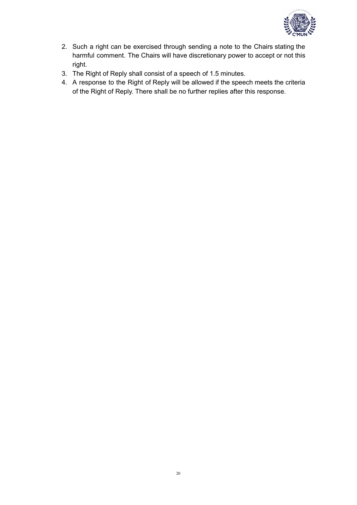

- 2. Such a right can be exercised through sending a note to the Chairs stating the harmful comment. The Chairs will have discretionary power to accept or not this right.
- 3. The Right of Reply shall consist of a speech of 1.5 minutes.
- 4. A response to the Right of Reply will be allowed if the speech meets the criteria of the Right of Reply. There shall be no further replies after this response.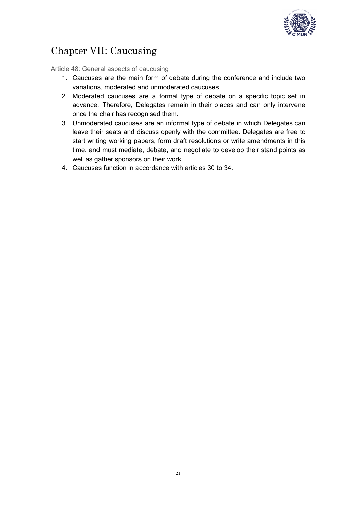

# <span id="page-20-0"></span>Chapter VII: Caucusing

<span id="page-20-1"></span>Article 48: General aspects of caucusing

- 1. Caucuses are the main form of debate during the conference and include two variations, moderated and unmoderated caucuses.
- 2. Moderated caucuses are a formal type of debate on a specific topic set in advance. Therefore, Delegates remain in their places and can only intervene once the chair has recognised them.
- 3. Unmoderated caucuses are an informal type of debate in which Delegates can leave their seats and discuss openly with the committee. Delegates are free to start writing working papers, form draft resolutions or write amendments in this time, and must mediate, debate, and negotiate to develop their stand points as well as gather sponsors on their work.
- 4. Caucuses function in accordance with articles 30 to 34.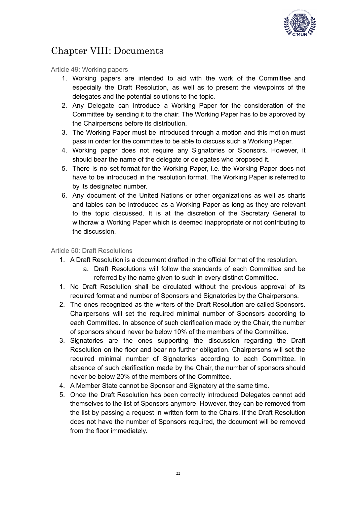

# <span id="page-21-0"></span>Chapter VIII: Documents

<span id="page-21-1"></span>Article 49: Working papers

- 1. Working papers are intended to aid with the work of the Committee and especially the Draft Resolution, as well as to present the viewpoints of the delegates and the potential solutions to the topic.
- 2. Any Delegate can introduce a Working Paper for the consideration of the Committee by sending it to the chair. The Working Paper has to be approved by the Chairpersons before its distribution.
- 3. The Working Paper must be introduced through a motion and this motion must pass in order for the committee to be able to discuss such a Working Paper.
- 4. Working paper does not require any Signatories or Sponsors. However, it should bear the name of the delegate or delegates who proposed it.
- 5. There is no set format for the Working Paper, i.e. the Working Paper does not have to be introduced in the resolution format. The Working Paper is referred to by its designated number.
- 6. Any document of the United Nations or other organizations as well as charts and tables can be introduced as a Working Paper as long as they are relevant to the topic discussed. It is at the discretion of the Secretary General to withdraw a Working Paper which is deemed inappropriate or not contributing to the discussion.

#### <span id="page-21-2"></span>Article 50: Draft Resolutions

- 1. A Draft Resolution is a document drafted in the official format of the resolution.
	- a. Draft Resolutions will follow the standards of each Committee and be referred by the name given to such in every distinct Committee.
- 1. No Draft Resolution shall be circulated without the previous approval of its required format and number of Sponsors and Signatories by the Chairpersons.
- 2. The ones recognized as the writers of the Draft Resolution are called Sponsors. Chairpersons will set the required minimal number of Sponsors according to each Committee. In absence of such clarification made by the Chair, the number of sponsors should never be below 10% of the members of the Committee.
- 3. Signatories are the ones supporting the discussion regarding the Draft Resolution on the floor and bear no further obligation. Chairpersons will set the required minimal number of Signatories according to each Committee. In absence of such clarification made by the Chair, the number of sponsors should never be below 20% of the members of the Committee.
- 4. A Member State cannot be Sponsor and Signatory at the same time.
- 5. Once the Draft Resolution has been correctly introduced Delegates cannot add themselves to the list of Sponsors anymore. However, they can be removed from the list by passing a request in written form to the Chairs. If the Draft Resolution does not have the number of Sponsors required, the document will be removed from the floor immediately.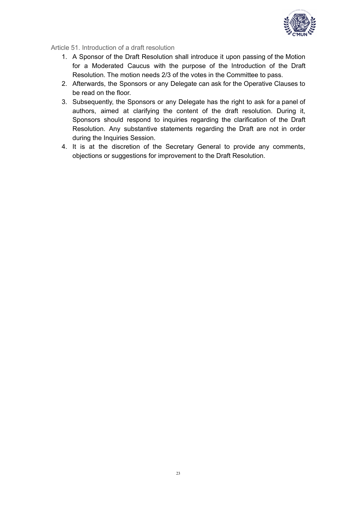

<span id="page-22-0"></span>Article 51. Introduction of a draft resolution

- 1. A Sponsor of the Draft Resolution shall introduce it upon passing of the Motion for a Moderated Caucus with the purpose of the Introduction of the Draft Resolution. The motion needs 2/3 of the votes in the Committee to pass.
- 2. Afterwards, the Sponsors or any Delegate can ask for the Operative Clauses to be read on the floor.
- 3. Subsequently, the Sponsors or any Delegate has the right to ask for a panel of authors, aimed at clarifying the content of the draft resolution. During it, Sponsors should respond to inquiries regarding the clarification of the Draft Resolution. Any substantive statements regarding the Draft are not in order during the Inquiries Session.
- 4. It is at the discretion of the Secretary General to provide any comments, objections or suggestions for improvement to the Draft Resolution.